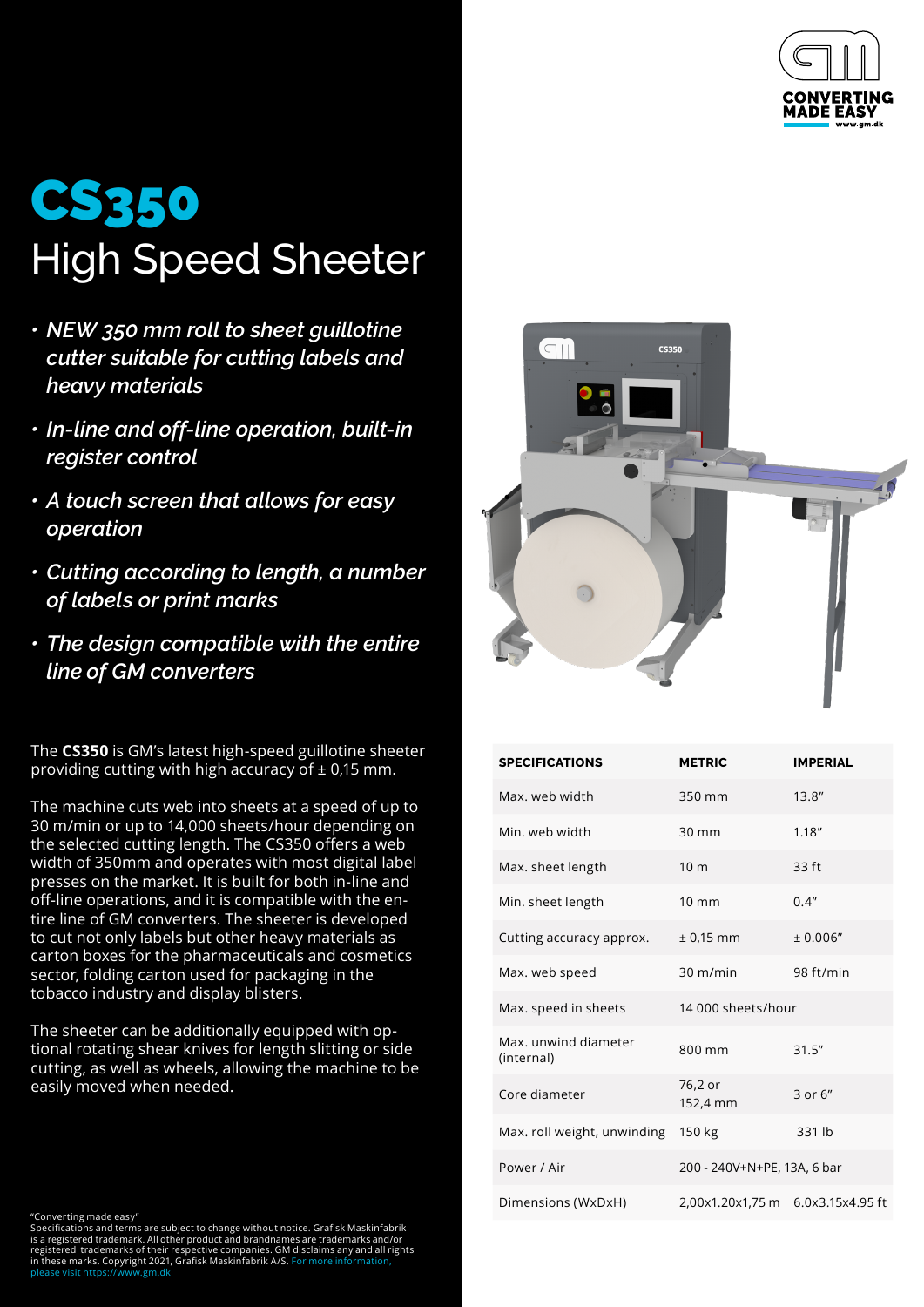

## CS350 High Speed Sheeter

- *• NEW 350 mm roll to sheet guillotine cutter suitable for cutting labels and heavy materials*
- *• In-line and off-line operation, built-in register control*
- *• A touch screen that allows for easy operation*
- *• Cutting according to length, a number of labels or print marks*
- *• The design compatible with the entire line of GM converters*

The **CS350** is GM's latest high-speed guillotine sheeter providing cutting with high accuracy of  $\pm$  0,15 mm.

The machine cuts web into sheets at a speed of up to 30 m/min or up to 14,000 sheets/hour depending on the selected cutting length. The CS350 offers a web width of 350mm and operates with most digital label presses on the market. It is built for both in-line and off-line operations, and it is compatible with the entire line of GM converters. The sheeter is developed to cut not only labels but other heavy materials as carton boxes for the pharmaceuticals and cosmetics sector, folding carton used for packaging in the tobacco industry and display blisters.

The sheeter can be additionally equipped with optional rotating shear knives for length slitting or side cutting, as well as wheels, allowing the machine to be easily moved when needed.



"Converting made easy" Specifications and terms are subject to change without notice. Grafisk Maskinfabrik is a registered trademark. All other product and brandnames are trademarks and/or registered trademarks of their respective companies. GM disclaims any and all rights in these marks. Copyright 2021, Grafisk Maskinfabrik A/S. For more information, please visit https:/[/www.gm.dk](https://www.gm.dk)



| <b>SPECIFICATIONS</b>              | <b>METRIC</b>                     | <b>IMPERIAL</b> |
|------------------------------------|-----------------------------------|-----------------|
| Max, web width                     | 350 mm                            | 13.8''          |
| Min. web width                     | $30 \text{ mm}$                   | 1.18''          |
| Max. sheet length                  | 10 <sub>m</sub>                   | 33 ft           |
| Min. sheet length                  | $10 \text{ mm}$                   | 0.4"            |
| Cutting accuracy approx.           | $± 0.15$ mm                       | ± 0.006"        |
| Max. web speed                     | $30 \text{ m/min}$                | 98 ft/min       |
| Max. speed in sheets               | 14.000 sheets/hour                |                 |
| Max. unwind diameter<br>(internal) | 800 mm                            | 31.5''          |
| Core diameter                      | 76,2 or<br>152,4 mm               | $3$ or $6$ "    |
| Max. roll weight, unwinding        | 150 kg                            | 331 lb          |
| Power / Air                        | 200 - 240V+N+PE, 13A, 6 bar       |                 |
| Dimensions (WxDxH)                 | 2,00x1.20x1,75 m 6.0x3.15x4.95 ft |                 |